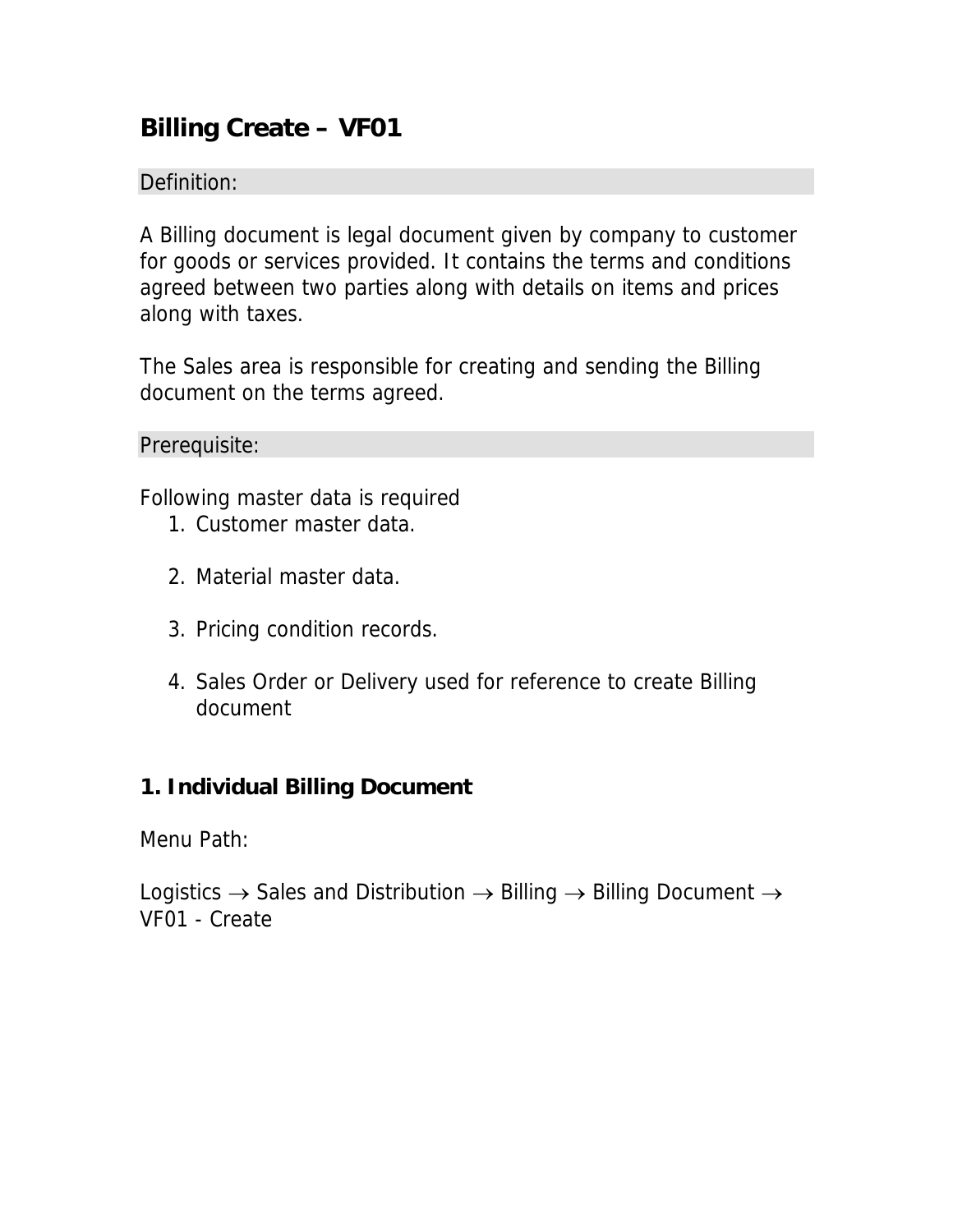# **Billing Create – VF01**

## Definition:

A Billing document is legal document given by company to customer for goods or services provided. It contains the terms and conditions agreed between two parties along with details on items and prices along with taxes.

The Sales area is responsible for creating and sending the Billing document on the terms agreed.

Prerequisite:

Following master data is required

- 1. Customer master data.
- 2. Material master data.
- 3. Pricing condition records.
- 4. Sales Order or Delivery used for reference to create Billing document

### **1. Individual Billing Document**

Menu Path:

Logistics  $\rightarrow$  Sales and Distribution  $\rightarrow$  Billing  $\rightarrow$  Billing Document  $\rightarrow$ VF01 - Create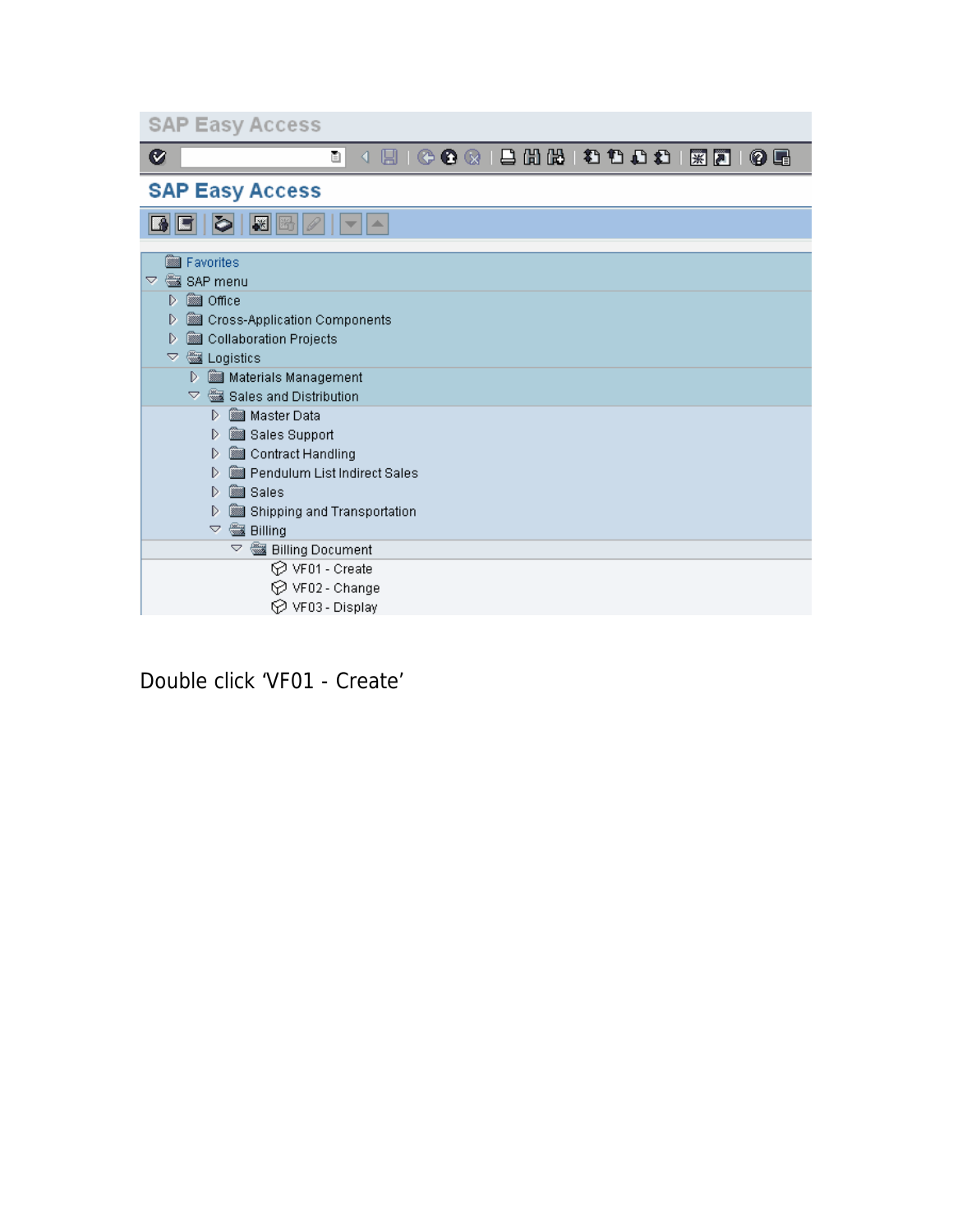| <b>SAP Easy Access</b>                              |
|-----------------------------------------------------|
| Ø<br>ū<br>0 E<br>₹.                                 |
| <b>SAP Easy Access</b>                              |
| $\mathbb{R}$ $\mathbb{B}$<br>D<br>盀                 |
| <b>sal</b> Favorites                                |
| SAP menu<br>▽.                                      |
| <b>s</b> Office<br>D                                |
| Cross-Application Components<br>D                   |
| Collaboration Projects<br>D                         |
| Logistics<br>▽                                      |
| Materials Management<br>D                           |
| $\triangledown$ $\mathbb{Z}$ Sales and Distribution |
| <b>SSSI</b> Master Data<br>D                        |
| Sales Support<br>D                                  |
| Contract Handling<br>D                              |
| Pendulum List Indirect Sales<br>D                   |
| <b>Sales</b><br>D                                   |
| Shipping and Transportation<br>D                    |
| $\triangledown$<br><b>Billing</b>                   |
| <b>Billing Document</b><br>A                        |
| <b>⊙</b> VF01 - Create                              |
| $\oslash$ VF02 - Change                             |
| $\oslash$ VF03 - Display                            |

Double click 'VF01 - Create'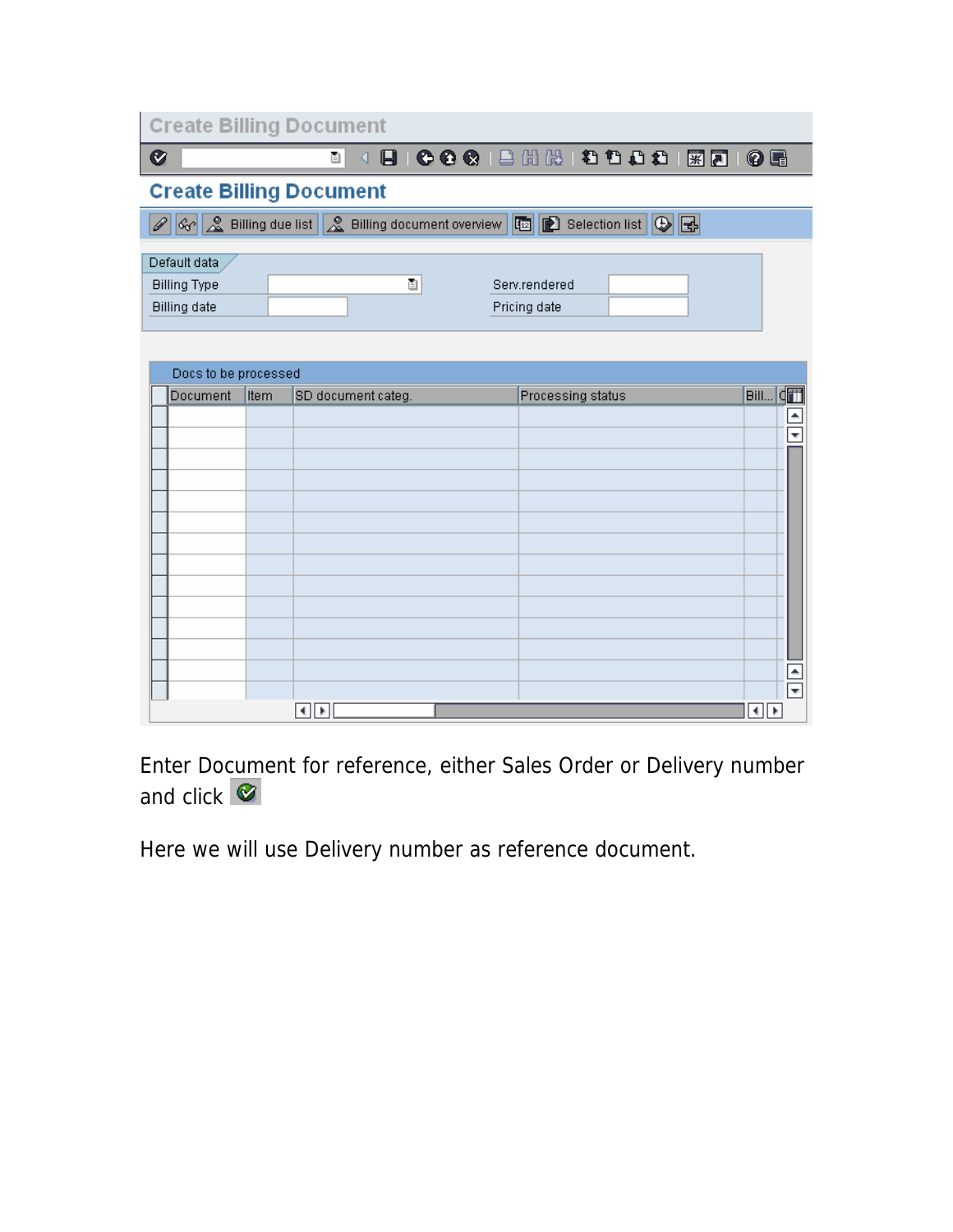|                     | <b>Create Billing Document</b> |                                                                               |
|---------------------|--------------------------------|-------------------------------------------------------------------------------|
| Ø                   | ēH                             | E   C C C   L H H H D O O I   R 21  <br>0 E                                   |
|                     | <b>Create Billing Document</b> |                                                                               |
|                     |                                | ☆ & Billing due list   & Billing document overview   图 图 Selection list   ⊕ 图 |
| Default data        |                                |                                                                               |
| <b>Billing Type</b> | ū                              | Serv.rendered                                                                 |
| <b>Billing date</b> |                                | Pricing date                                                                  |

| Docs to be processed |      |                    |                   |                          |  |  |  |  |
|----------------------|------|--------------------|-------------------|--------------------------|--|--|--|--|
| Document             | Item | SD document categ. | Processing status | Bill CH                  |  |  |  |  |
|                      |      |                    |                   | $\blacktriangle$         |  |  |  |  |
|                      |      |                    |                   | $\overline{\mathbf{v}}$  |  |  |  |  |
|                      |      |                    |                   |                          |  |  |  |  |
|                      |      |                    |                   |                          |  |  |  |  |
|                      |      |                    |                   |                          |  |  |  |  |
|                      |      |                    |                   |                          |  |  |  |  |
|                      |      |                    |                   |                          |  |  |  |  |
|                      |      |                    |                   |                          |  |  |  |  |
|                      |      |                    |                   |                          |  |  |  |  |
|                      |      |                    |                   |                          |  |  |  |  |
|                      |      |                    |                   |                          |  |  |  |  |
|                      |      |                    |                   |                          |  |  |  |  |
|                      |      |                    |                   | $\blacktriangle$         |  |  |  |  |
|                      |      |                    |                   | $\overline{\phantom{a}}$ |  |  |  |  |
|                      |      | H∣⊁                |                   | l∢∥≽                     |  |  |  |  |

Enter Document for reference, either Sales Order or Delivery number and click  $\bullet$ 

Here we will use Delivery number as reference document.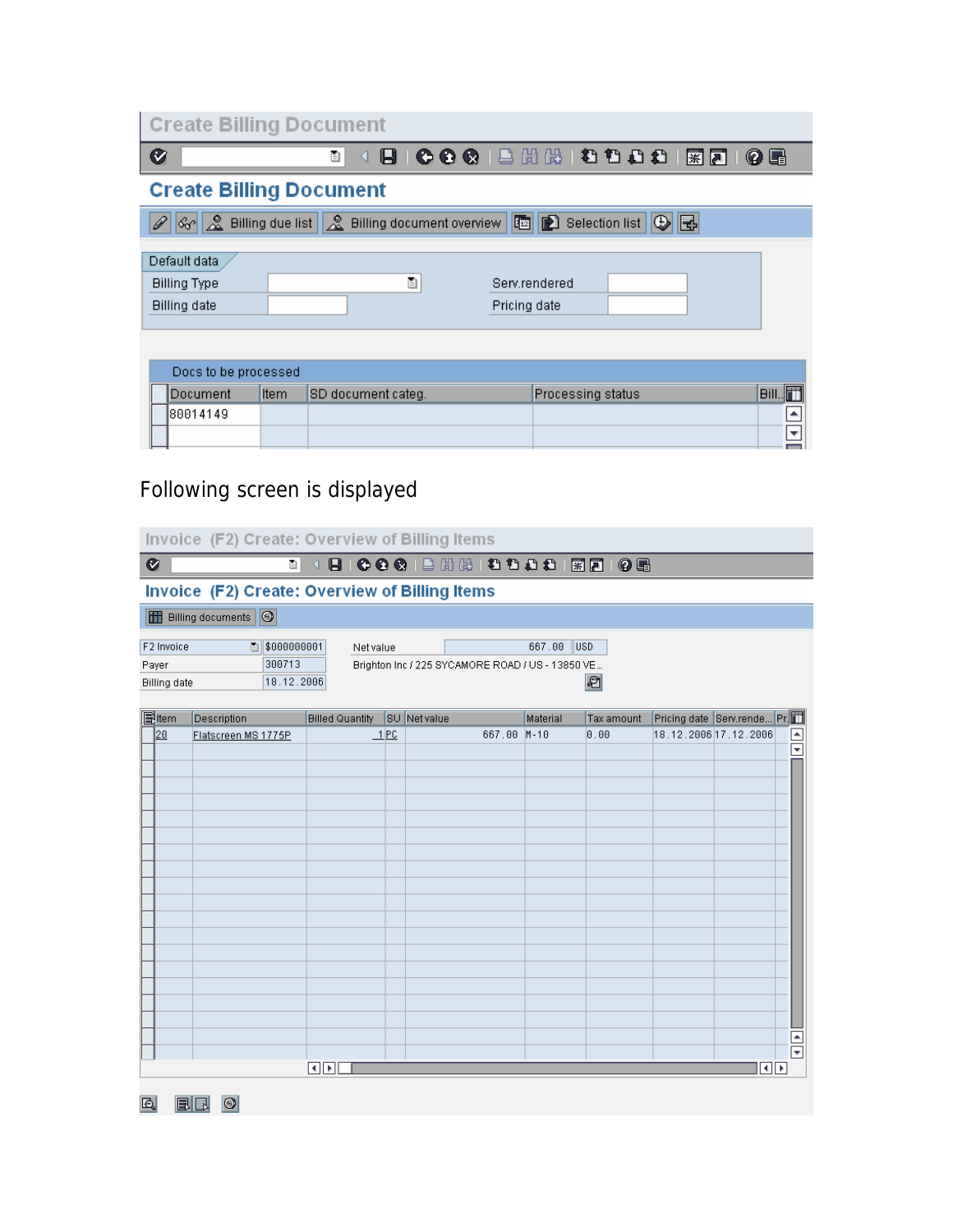| <b>Create Billing Document</b> |                                |                                                                               |  |  |  |  |  |  |
|--------------------------------|--------------------------------|-------------------------------------------------------------------------------|--|--|--|--|--|--|
| Ø                              | ū<br>◁                         | 0 H                                                                           |  |  |  |  |  |  |
|                                | <b>Create Billing Document</b> |                                                                               |  |  |  |  |  |  |
|                                |                                | ☆ & Billing due list   & Billing document overview   图 图 Selection list   ⊕ 图 |  |  |  |  |  |  |
| Default data                   |                                |                                                                               |  |  |  |  |  |  |
| <b>Billing Type</b>            | ū                              | Serv.rendered                                                                 |  |  |  |  |  |  |
| <b>Billing date</b>            |                                | Pricing date                                                                  |  |  |  |  |  |  |
|                                |                                |                                                                               |  |  |  |  |  |  |

| Docs to be processed |             |                    |                   |      |
|----------------------|-------------|--------------------|-------------------|------|
| <b>IDocument</b>     | <b>Item</b> | SD document categ. | Processing status | 'Bil |
| 80014149             |             |                    |                   |      |
|                      |             |                    |                   |      |

# Following screen is displayed

|                                                | Invoice (F2) Create: Overview of Billing Items                                                                                                       |                        |     |                                         |          |            |  |                             |  |                      |
|------------------------------------------------|------------------------------------------------------------------------------------------------------------------------------------------------------|------------------------|-----|-----------------------------------------|----------|------------|--|-----------------------------|--|----------------------|
| $\bullet$                                      |                                                                                                                                                      | Ū                      |     | 4 8 6 6 6 8 8 8 8 8 9 8 8 8 8 8 8 8 8 8 |          |            |  |                             |  |                      |
| Invoice (F2) Create: Overview of Billing Items |                                                                                                                                                      |                        |     |                                         |          |            |  |                             |  |                      |
| <b>H</b> Billing documents                     |                                                                                                                                                      |                        |     |                                         |          |            |  |                             |  |                      |
| F2 Invoice<br>Payer                            | ■ \$000000001<br>667.00<br>lusd<br>Net value<br>300713<br>Brighton Inc / 225 SYCAMORE ROAD / US - 13850 VE<br>₽<br>18.12.2006<br><b>Billing date</b> |                        |     |                                         |          |            |  |                             |  |                      |
| 同ttem                                          | Description                                                                                                                                          | <b>Billed Quantity</b> |     | <b>SU</b> Net value                     | Material | Tax amount |  | Pricing date Serv.rende Pr. |  |                      |
| 20                                             | Flatscreen MS 1775P                                                                                                                                  |                        | 1PC | 667.00 M-10                             |          | 0.00       |  | 18.12.2006 17.12.2006       |  | $\frac{1}{\sqrt{2}}$ |
|                                                |                                                                                                                                                      |                        |     |                                         |          |            |  |                             |  |                      |
|                                                |                                                                                                                                                      |                        |     |                                         |          |            |  |                             |  |                      |
|                                                |                                                                                                                                                      |                        |     |                                         |          |            |  |                             |  |                      |
|                                                |                                                                                                                                                      |                        |     |                                         |          |            |  |                             |  |                      |
|                                                |                                                                                                                                                      |                        |     |                                         |          |            |  |                             |  |                      |
|                                                |                                                                                                                                                      |                        |     |                                         |          |            |  |                             |  |                      |
|                                                |                                                                                                                                                      |                        |     |                                         |          |            |  |                             |  |                      |
|                                                |                                                                                                                                                      |                        |     |                                         |          |            |  |                             |  |                      |
|                                                |                                                                                                                                                      |                        |     |                                         |          |            |  |                             |  |                      |
|                                                |                                                                                                                                                      |                        |     |                                         |          |            |  |                             |  |                      |
|                                                |                                                                                                                                                      |                        |     |                                         |          |            |  |                             |  |                      |
|                                                |                                                                                                                                                      |                        |     |                                         |          |            |  |                             |  |                      |
|                                                |                                                                                                                                                      |                        |     |                                         |          |            |  |                             |  |                      |
|                                                |                                                                                                                                                      |                        |     |                                         |          |            |  |                             |  |                      |
|                                                |                                                                                                                                                      |                        |     |                                         |          |            |  |                             |  | $\frac{1}{\sqrt{2}}$ |
|                                                |                                                                                                                                                      |                        |     |                                         |          |            |  |                             |  |                      |
|                                                |                                                                                                                                                      | ৰ ⊵⊡                   |     |                                         |          |            |  | $\overline{\bullet}$        |  |                      |

Q BB 0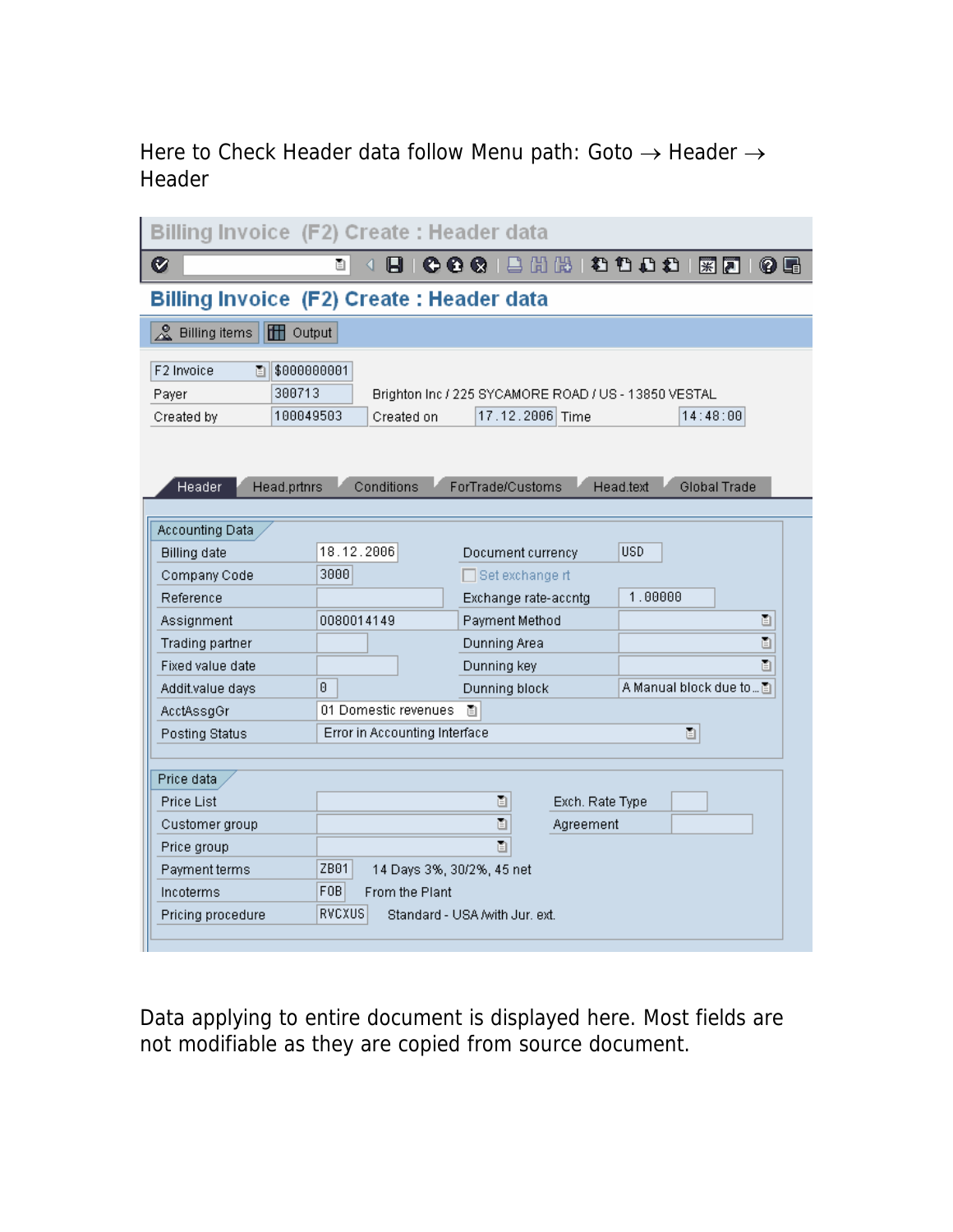## Here to Check Header data follow Menu path: Goto → Header → Header

| Billing Invoice (F2) Create: Header data                                     |                                    |                                                                         |                            |  |  |  |  |
|------------------------------------------------------------------------------|------------------------------------|-------------------------------------------------------------------------|----------------------------|--|--|--|--|
| Ø                                                                            | ē.                                 | 6 Q Q                                                                   | 【出版 】 《 色 色 色 》 【案】<br>0 E |  |  |  |  |
| Billing Invoice (F2) Create : Header data                                    |                                    |                                                                         |                            |  |  |  |  |
| ൣ<br><b>TH</b> Output<br><b>Billing items</b>                                |                                    |                                                                         |                            |  |  |  |  |
| F2 Invoice<br>\$000000001<br>阊<br>300713<br>Payer<br>100049503<br>Created by | Created on                         | Brighton Inc / 225 SYCAMORE ROAD / US - 13850 VESTAL<br>17.12.2006 Time | 14:48:00                   |  |  |  |  |
| Header<br>Head.prtnrs                                                        | Conditions                         | ForTrade/Customs                                                        | Global Trade<br>Head.text  |  |  |  |  |
| Accounting Data                                                              |                                    |                                                                         |                            |  |  |  |  |
| <b>Billing date</b>                                                          | 18.12.2006                         | Document currency                                                       | <b>USD</b>                 |  |  |  |  |
| Company Code                                                                 | 3000                               | $\Box$ Set exchange rt                                                  |                            |  |  |  |  |
| Reference                                                                    |                                    | Exchange rate-accntg                                                    | 1.00000                    |  |  |  |  |
| Assignment                                                                   | 0080014149                         | Payment Method                                                          | ū                          |  |  |  |  |
| Trading partner                                                              |                                    | Dunning Area                                                            | ū                          |  |  |  |  |
| Fixed value date                                                             |                                    | Dunning key                                                             | 圁                          |  |  |  |  |
| Addit.value days                                                             | ß.                                 | Dunning block                                                           | A Manual block due to 图    |  |  |  |  |
| AcctAssgGr                                                                   | 01 Domestic revenues               | ū                                                                       |                            |  |  |  |  |
| Posting Status                                                               | Error in Accounting Interface      |                                                                         | 圁                          |  |  |  |  |
| Price data                                                                   |                                    |                                                                         |                            |  |  |  |  |
| Price List                                                                   |                                    | 圁<br>Exch. Rate Type                                                    |                            |  |  |  |  |
| Customer group                                                               |                                    | Ō<br>Agreement                                                          |                            |  |  |  |  |
| Price group                                                                  |                                    | 圁                                                                       |                            |  |  |  |  |
| Payment terms                                                                | ZB01<br>14 Days 3%, 30/2%, 45 net  |                                                                         |                            |  |  |  |  |
| Incoterms                                                                    | F <sub>0</sub> B<br>From the Plant |                                                                         |                            |  |  |  |  |
| Pricing procedure                                                            | RVCXUS                             | Standard - USA /with Jur. ext.                                          |                            |  |  |  |  |
|                                                                              |                                    |                                                                         |                            |  |  |  |  |

Data applying to entire document is displayed here. Most fields are not modifiable as they are copied from source document.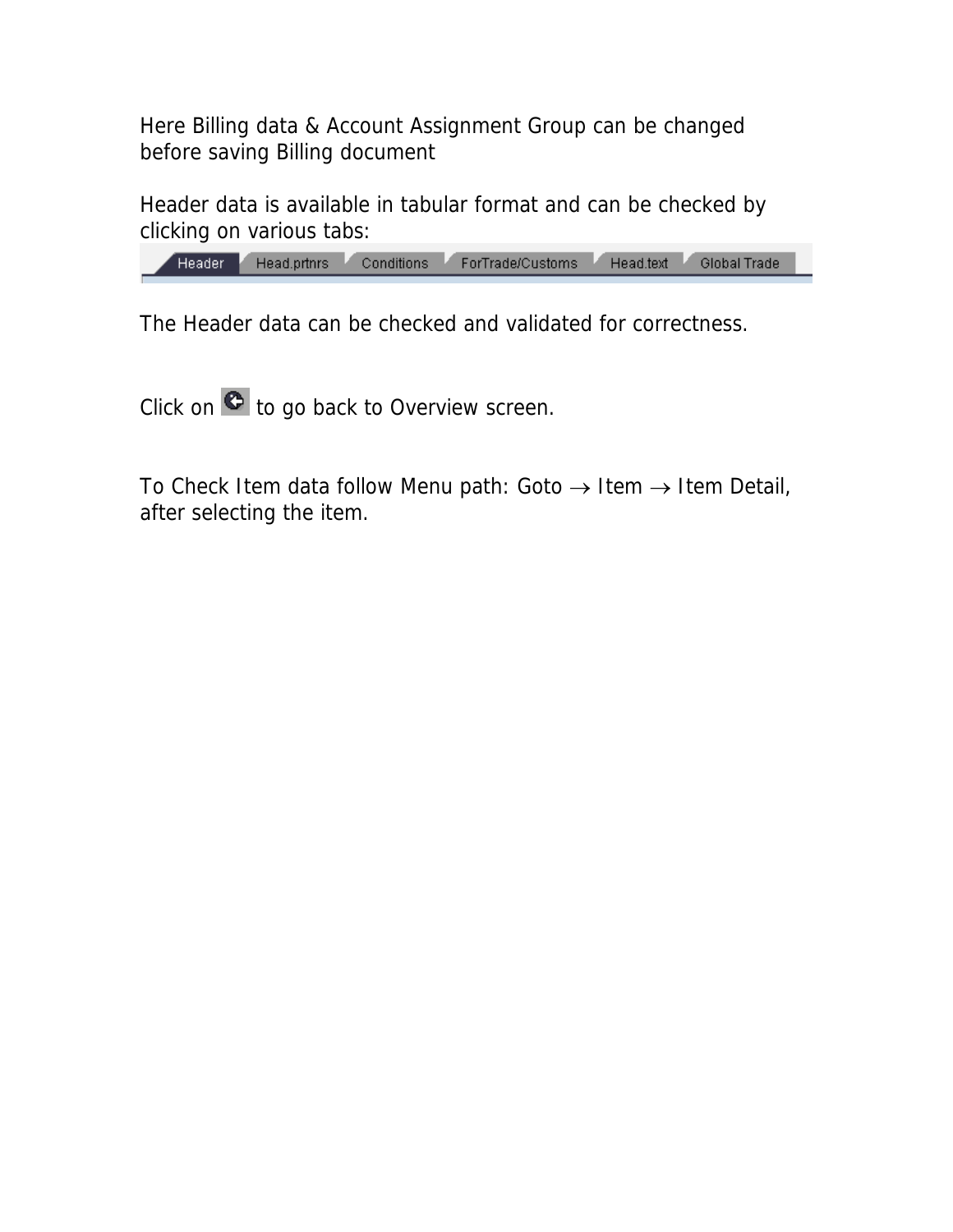Here Billing data & Account Assignment Group can be changed before saving Billing document

Header data is available in tabular format and can be checked by clicking on various tabs:

| Feader - | Head.prtnrs | Conditions ForTrade/Customs Head.text | Global Trade |  |
|----------|-------------|---------------------------------------|--------------|--|
|          |             |                                       |              |  |

The Header data can be checked and validated for correctness.

Click on  $\bullet$  to go back to Overview screen.

To Check Item data follow Menu path: Goto  $\rightarrow$  Item  $\rightarrow$  Item Detail, after selecting the item.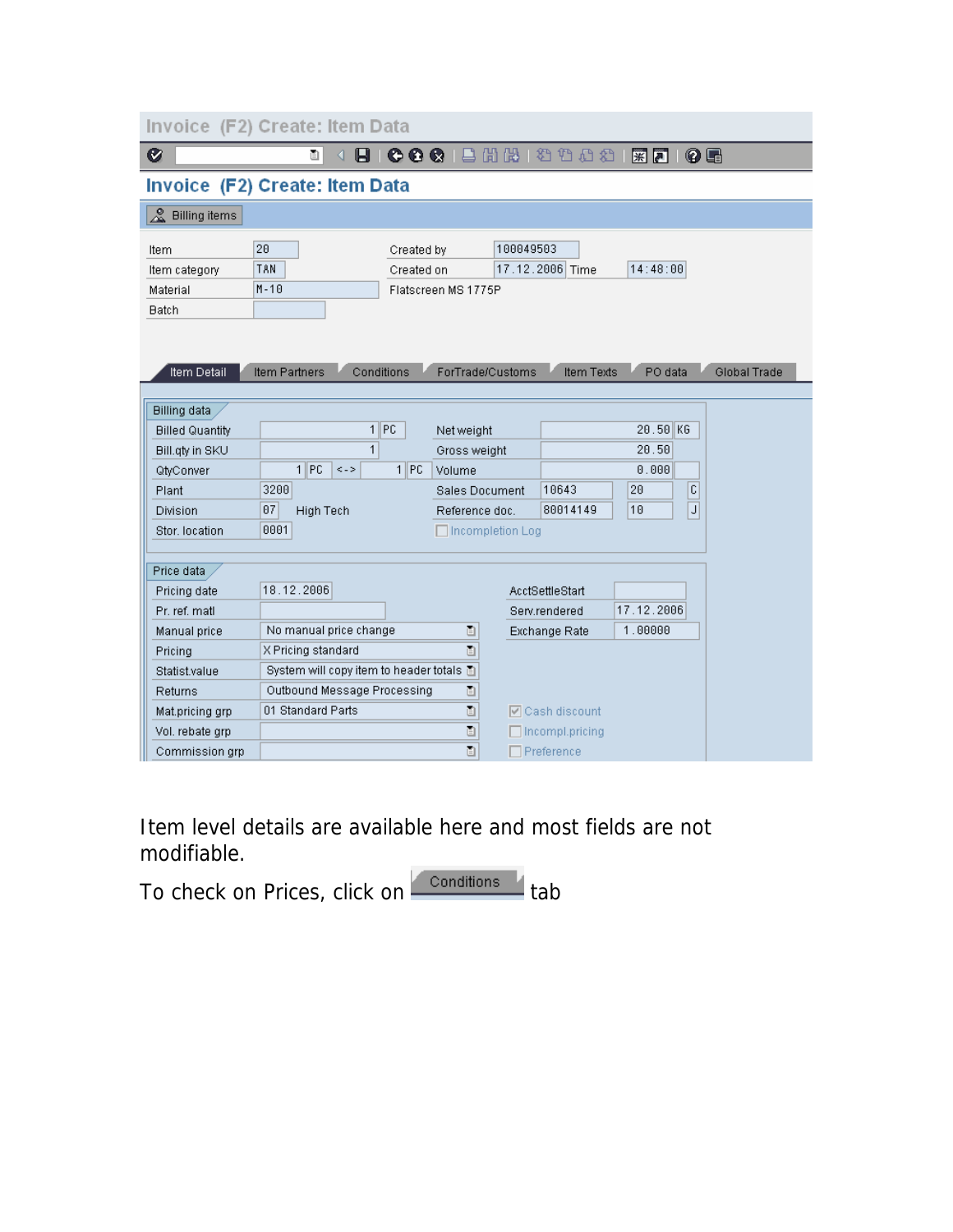| Invoice (F2) Create: Item Data                    |                                          |                          |                                                                                                                                                                                                                                                                                                                                                                                                                                                     |                        |                           |              |  |  |
|---------------------------------------------------|------------------------------------------|--------------------------|-----------------------------------------------------------------------------------------------------------------------------------------------------------------------------------------------------------------------------------------------------------------------------------------------------------------------------------------------------------------------------------------------------------------------------------------------------|------------------------|---------------------------|--------------|--|--|
| Ø                                                 | ū<br>ы                                   |                          | 00012出出出 20021                                                                                                                                                                                                                                                                                                                                                                                                                                      |                        | 0 E<br>$*$ $\blacksquare$ |              |  |  |
| Invoice (F2) Create: Item Data                    |                                          |                          |                                                                                                                                                                                                                                                                                                                                                                                                                                                     |                        |                           |              |  |  |
| & Billing items                                   |                                          |                          |                                                                                                                                                                                                                                                                                                                                                                                                                                                     |                        |                           |              |  |  |
| Item<br>Item category<br>Material<br><b>Batch</b> | 20<br>TAN<br>$M - 10$                    | Created by<br>Created on | 100049503<br>Flatscreen MS 1775P                                                                                                                                                                                                                                                                                                                                                                                                                    | 17.12.2006 Time        | 14:48:00                  |              |  |  |
| Item Detail                                       | Conditions<br><b>Item Partners</b>       |                          | ForTrade/Customs                                                                                                                                                                                                                                                                                                                                                                                                                                    | <b>Item Texts</b>      | PO data                   | Global Trade |  |  |
| <b>Billing data</b>                               |                                          |                          |                                                                                                                                                                                                                                                                                                                                                                                                                                                     |                        |                           |              |  |  |
| <b>Billed Quantity</b>                            |                                          | $1$ PC                   | Net weight                                                                                                                                                                                                                                                                                                                                                                                                                                          |                        | 20.50 KG                  |              |  |  |
| Bill.gty in SKU                                   | 1                                        |                          | Gross weight                                                                                                                                                                                                                                                                                                                                                                                                                                        |                        | 20.50                     |              |  |  |
| QtyConver                                         | 1 IPC<br>$\leq$ - $>$                    | $1$ $ PC$                | Volume                                                                                                                                                                                                                                                                                                                                                                                                                                              |                        | 0.000                     |              |  |  |
| Plant                                             | 3200                                     |                          | <b>Sales Document</b>                                                                                                                                                                                                                                                                                                                                                                                                                               | 10643                  | C<br>20                   |              |  |  |
| <b>Division</b>                                   | 07<br><b>High Tech</b>                   |                          | Reference doc.                                                                                                                                                                                                                                                                                                                                                                                                                                      | 80014149               | J<br>10                   |              |  |  |
| Stor, location                                    | 0001                                     |                          | $\Box$ Incompletion Log                                                                                                                                                                                                                                                                                                                                                                                                                             |                        |                           |              |  |  |
| Price data                                        |                                          |                          |                                                                                                                                                                                                                                                                                                                                                                                                                                                     |                        |                           |              |  |  |
| Pricing date                                      | 18.12.2006                               |                          |                                                                                                                                                                                                                                                                                                                                                                                                                                                     | AcctSettleStart        |                           |              |  |  |
| Pr. ref. matl.                                    |                                          |                          |                                                                                                                                                                                                                                                                                                                                                                                                                                                     | Serv.rendered          | 17.12.2006                |              |  |  |
| Manual price                                      | No manual price change                   |                          | 圁                                                                                                                                                                                                                                                                                                                                                                                                                                                   | Exchange Rate          | 1.00000                   |              |  |  |
| Pricing                                           | X Pricing standard                       |                          | $\begin{tabular}{ c c } \hline \rule{0.3cm}{.04cm} \rule{0.3cm}{.04cm} \rule{0.3cm}{.04cm} \rule{0.3cm}{.04cm} \rule{0.3cm}{.04cm} \rule{0.3cm}{.04cm} \rule{0.3cm}{.04cm} \rule{0.3cm}{.04cm} \rule{0.3cm}{.04cm} \rule{0.3cm}{.04cm} \rule{0.3cm}{.04cm} \rule{0.3cm}{.04cm} \rule{0.3cm}{.04cm} \rule{0.3cm}{.04cm} \rule{0.3cm}{.04cm} \rule{0.3cm}{.0$                                                                                         |                        |                           |              |  |  |
| <b>Statist value</b>                              | System will copy item to header totals 面 |                          |                                                                                                                                                                                                                                                                                                                                                                                                                                                     |                        |                           |              |  |  |
| Returns                                           | Outbound Message Processing              |                          | $\boxed{\phantom{1}}$                                                                                                                                                                                                                                                                                                                                                                                                                               |                        |                           |              |  |  |
| Mat.pricing grp                                   | 01 Standard Parts                        |                          | $\begin{tabular}{ c c } \hline \hline \textbf{E} & \textbf{E} & \textbf{E} \\ \hline \textbf{E} & \textbf{E} & \textbf{E} \\ \hline \textbf{E} & \textbf{E} & \textbf{E} \\ \hline \textbf{E} & \textbf{E} & \textbf{E} \\ \hline \textbf{E} & \textbf{E} & \textbf{E} \\ \hline \textbf{E} & \textbf{E} & \textbf{E} \\ \hline \textbf{E} & \textbf{E} & \textbf{E} \\ \hline \textbf{E} & \textbf{E} & \textbf{E} \\ \hline \textbf{E} & \textbf$ | $\nabla$ Cash discount |                           |              |  |  |
| Vol. rebate grp                                   |                                          |                          | $\Box$                                                                                                                                                                                                                                                                                                                                                                                                                                              | Incompl.pricing        |                           |              |  |  |
| Commission grp                                    |                                          |                          | $\Box$                                                                                                                                                                                                                                                                                                                                                                                                                                              | $\Box$ Preference      |                           |              |  |  |

Item level details are available here and most fields are not modifiable.

To check on Prices, click on **Conditions** tab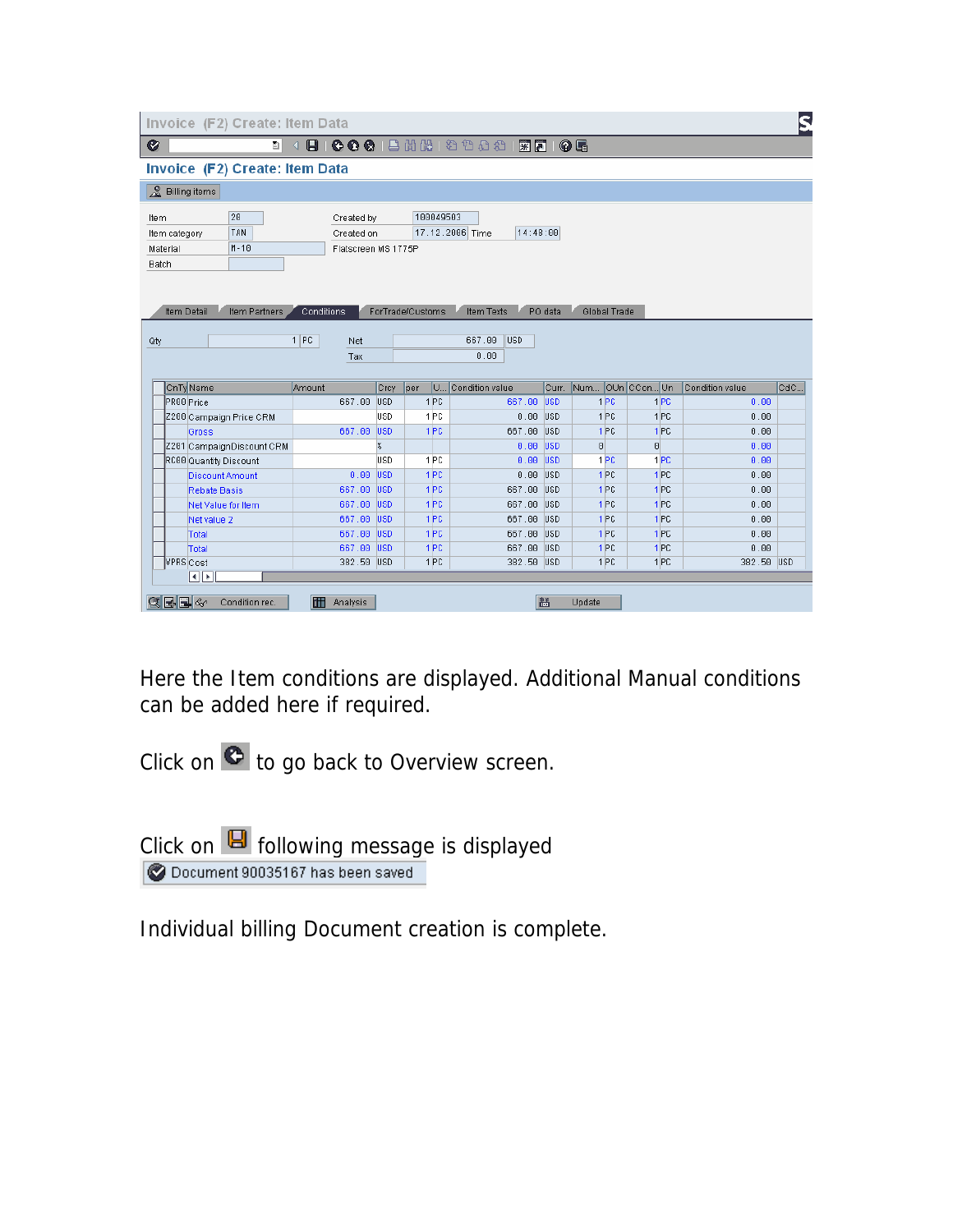| ū                                                                                                     |                     |            |                  |   | 4 8 6 6 6 8 8 18 18 1 2 1 2 2 1 3 8 8 1 0 5 |            |                 |                 |          |                 |                 |     |
|-------------------------------------------------------------------------------------------------------|---------------------|------------|------------------|---|---------------------------------------------|------------|-----------------|-----------------|----------|-----------------|-----------------|-----|
| Invoice (F2) Create: Item Data                                                                        |                     |            |                  |   |                                             |            |                 |                 |          |                 |                 |     |
| & Billing items                                                                                       |                     |            |                  |   |                                             |            |                 |                 |          |                 |                 |     |
| 20<br>Item                                                                                            | Created by          |            | 100049503        |   |                                             |            |                 |                 |          |                 |                 |     |
| <b>TAN</b><br>Item category                                                                           | Created on          |            |                  |   | 14:48:00<br>17.12.2006 Time                 |            |                 |                 |          |                 |                 |     |
| $M - 10$<br>Material                                                                                  | Flatscreen MS 1775P |            |                  |   |                                             |            |                 |                 |          |                 |                 |     |
| Batch                                                                                                 |                     |            |                  |   |                                             |            |                 |                 |          |                 |                 |     |
|                                                                                                       |                     |            |                  |   |                                             |            |                 |                 |          |                 |                 |     |
|                                                                                                       |                     |            |                  |   |                                             |            |                 |                 |          |                 |                 |     |
|                                                                                                       |                     |            |                  |   |                                             |            |                 |                 |          |                 |                 |     |
| Item Detail<br>Item Partners                                                                          | Conditions          |            | ForTrade/Customs |   | Item Texts                                  | PO data    |                 | Global Trade    |          |                 |                 |     |
|                                                                                                       |                     |            |                  |   |                                             |            |                 |                 |          |                 |                 |     |
|                                                                                                       | $1$ PC<br>Net       |            |                  |   | <b>USD</b><br>667.00                        |            |                 |                 |          |                 |                 |     |
|                                                                                                       |                     |            |                  |   |                                             |            |                 |                 |          |                 |                 |     |
|                                                                                                       | Tax                 |            |                  |   | 0.00                                        |            |                 |                 |          |                 |                 |     |
|                                                                                                       |                     |            |                  |   |                                             |            |                 |                 |          |                 |                 |     |
| CnTy Name                                                                                             | Amount              | Crcy       | per              | U | Condition value                             | Curr.      | Num OUn CCon Un |                 |          |                 | Condition value |     |
|                                                                                                       | 667.00 USD          |            | 1 <sub>PC</sub>  |   | 667.00                                      | <b>USD</b> |                 | 1 <sub>PC</sub> |          | 1 PC            | 0.00            |     |
|                                                                                                       |                     | lusd       | 1 <sub>PC</sub>  |   | 0.00 USD                                    |            |                 | 1PC             |          | 1PC             | 0.00            |     |
| Gross                                                                                                 | 667.00 USD          |            | 1 <sub>PC</sub>  |   | 667.00 USD                                  |            |                 | 1 <sub>PC</sub> |          | 1PC             | 0.00            |     |
|                                                                                                       |                     | X          |                  |   | $0.00$ USD                                  |            | $\theta$        |                 | $\Theta$ |                 | 0.00            |     |
|                                                                                                       |                     | <b>USD</b> | 1 <sub>PC</sub>  |   | $0.00$ USD                                  |            |                 | 1 PC            |          | 1 PC            | 0.00            |     |
| <b>Discount Amount</b>                                                                                | 0.00                | <b>USD</b> | 1 <sub>PC</sub>  |   | $0.00$ USD                                  |            |                 | 1 <sub>PC</sub> |          | 1PC             | 0.00            |     |
| <b>Rebate Basis</b>                                                                                   | 667.00              | <b>USD</b> | 1 <sub>PC</sub>  |   | 667.00                                      | USD        |                 | 1 <sub>PC</sub> |          | 1 <sub>PC</sub> | 0.00            |     |
| Net Value for Item                                                                                    | 667.00 USD          |            | 1 PC             |   | 667.00                                      | <b>USD</b> |                 | 1 <sub>PC</sub> |          | 1 <sub>PC</sub> | 0.00            |     |
| Net value 2                                                                                           | 667.00 USD          |            | 1 <sub>PC</sub>  |   | 667.00 USD                                  |            |                 | 1 <sub>PC</sub> |          | 1PC             | 0.00            |     |
| PR00 Price<br>Z200 Campaign Price CRM<br>Z201 CampaignDiscount CRM<br>RC00 Quantity Discount<br>Total | 667.00 USD          |            | 1 <sub>PC</sub>  |   | 667.00 USD                                  |            |                 | 1 <sub>PC</sub> |          | 1 <sub>PC</sub> | 0.00            |     |
| Total                                                                                                 | 667.00 USD          |            | 1 <sub>PC</sub>  |   | 667.00                                      | <b>USD</b> |                 | 1 <sub>PC</sub> |          | 1PC             | 0.00            |     |
| VPRS Cost                                                                                             | 382.50 USD          |            | 1 PC             |   | 382.50 USD                                  |            |                 | 1PC             |          | 1 <sub>PC</sub> | 382.50 USD      | CdC |

Here the Item conditions are displayed. Additional Manual conditions can be added here if required.

Click on  $\bullet$  to go back to Overview screen.

Click on  $\blacksquare$  following message is displayed Document 90035167 has been saved

Individual billing Document creation is complete.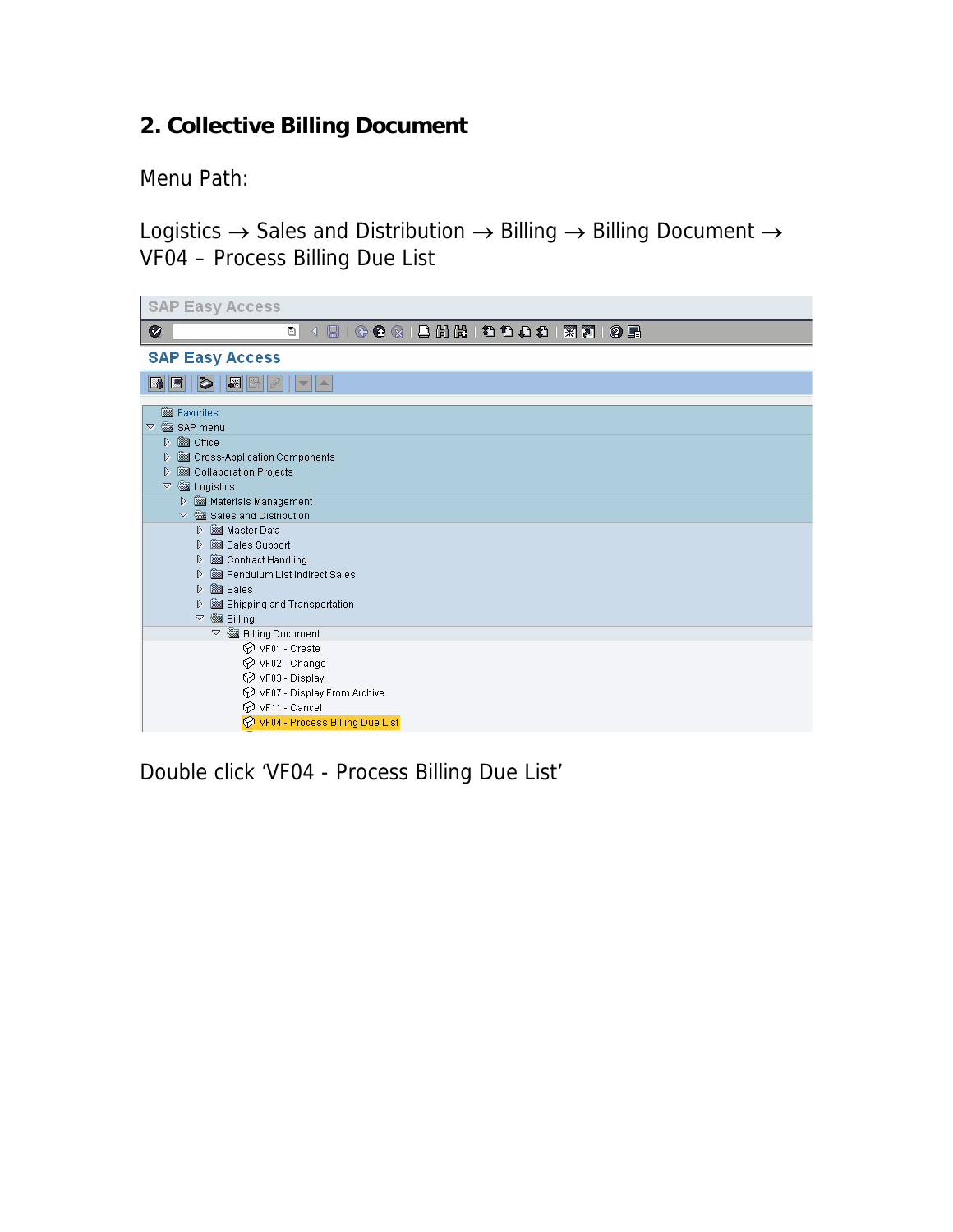# **2. Collective Billing Document**

Menu Path:

Logistics  $\rightarrow$  Sales and Distribution  $\rightarrow$  Billing  $\rightarrow$  Billing Document  $\rightarrow$ VF04 – Process Billing Due List



Double click 'VF04 - Process Billing Due List'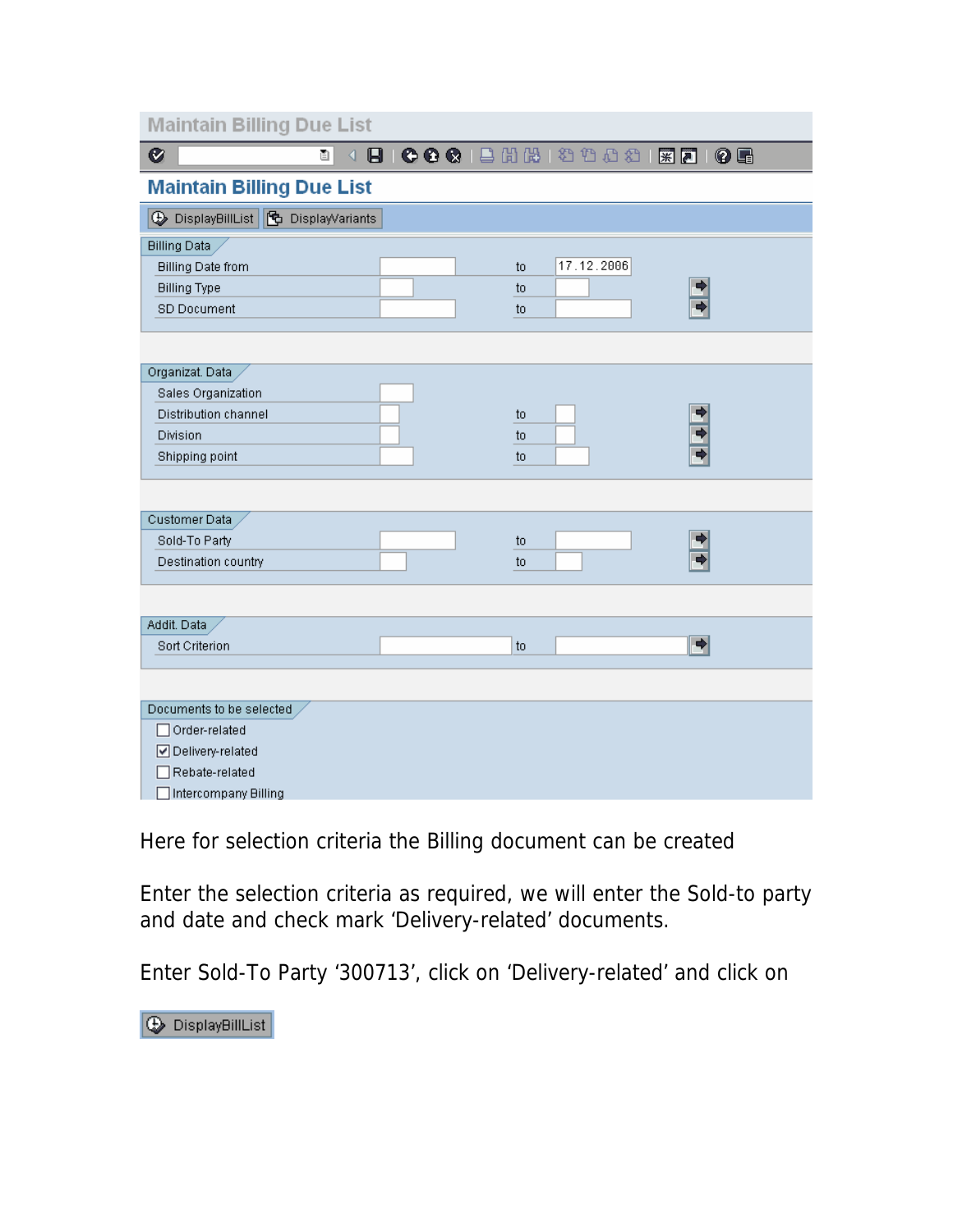| <b>Maintain Billing Due List</b>                      |                            |               |
|-------------------------------------------------------|----------------------------|---------------|
| Ø<br>ū<br>♦                                           | <b>B COO LAA 39982 308</b> |               |
| <b>Maintain Billing Due List</b>                      |                            |               |
| <b>A</b> DisplayBillList <b>B</b> DisplayVariants     |                            |               |
| <b>Billing Data</b>                                   |                            |               |
| <b>Billing Date from</b>                              | 17.12.2006<br>to           |               |
| <b>Billing Type</b>                                   | to                         |               |
| <b>SD Document</b>                                    | to                         |               |
|                                                       |                            |               |
| Organizat. Data                                       |                            |               |
| Sales Organization                                    |                            |               |
| Distribution channel                                  | to                         |               |
| Division                                              | to                         |               |
| Shipping point                                        | to                         |               |
| Customer Data<br>Sold-To Party<br>Destination country | to<br>to                   |               |
|                                                       |                            |               |
|                                                       |                            |               |
| Addit, Data                                           |                            |               |
| Sort Criterion                                        | to                         | $\Rightarrow$ |
|                                                       |                            |               |
| Documents to be selected                              |                            |               |
| Order-related                                         |                            |               |
| ☑ Delivery-related                                    |                            |               |
| Rebate-related                                        |                            |               |
| Intercompany Billing                                  |                            |               |

Here for selection criteria the Billing document can be created

Enter the selection criteria as required, we will enter the Sold-to party and date and check mark 'Delivery-related' documents.

Enter Sold-To Party '300713', click on 'Delivery-related' and click on

**DisplayBillList**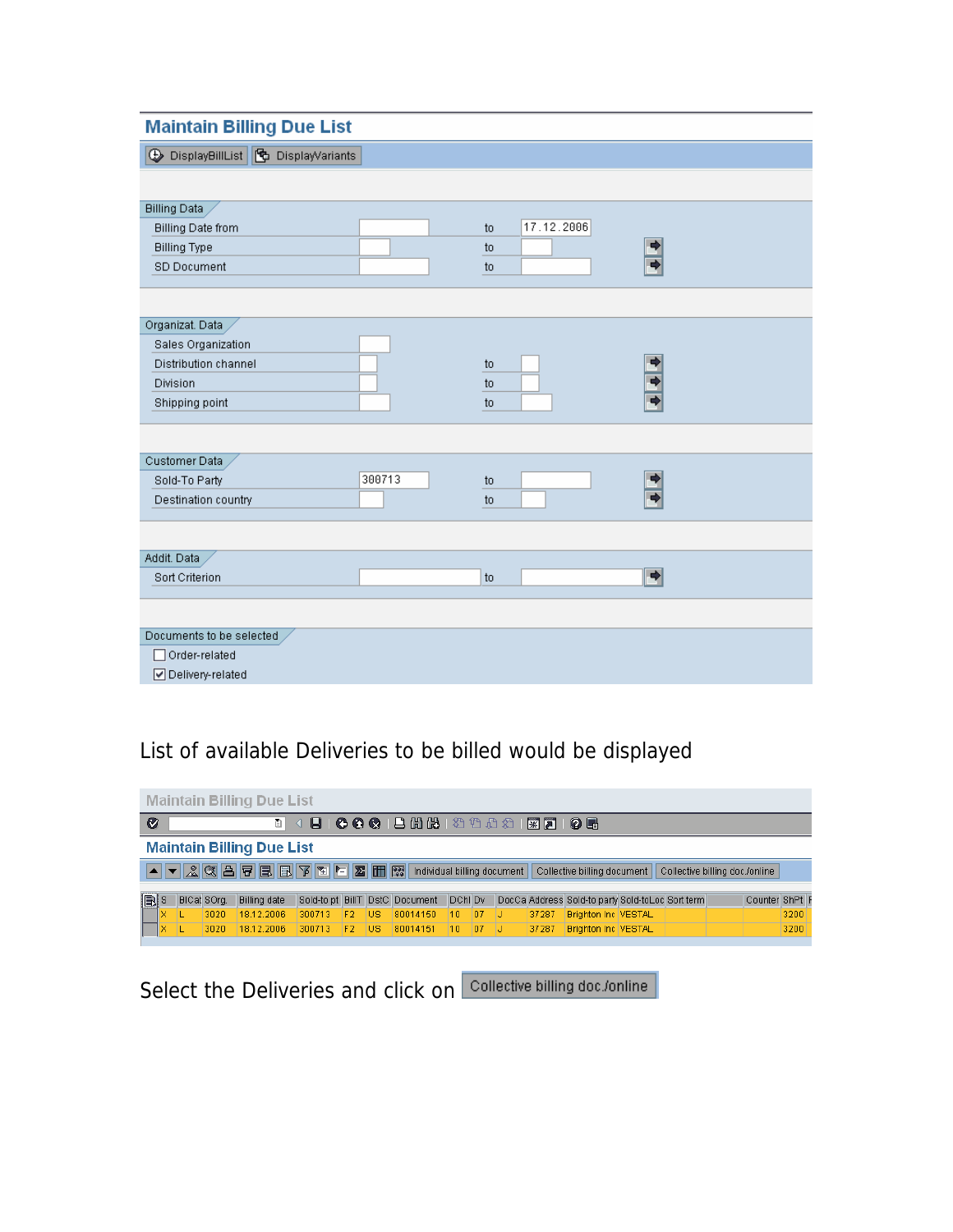#### **Maintain Billing Due List**

| DisplayBillList G DisplayVariants |                  |               |
|-----------------------------------|------------------|---------------|
|                                   |                  |               |
| <b>Billing Data</b>               |                  |               |
| <b>Billing Date from</b>          | 17.12.2006<br>to |               |
| <b>Billing Type</b>               | to               | ◆             |
| <b>SD Document</b>                | to               |               |
|                                   |                  |               |
|                                   |                  |               |
| Organizat. Data                   |                  |               |
| Sales Organization                |                  |               |
| Distribution channel              | to               | ◆             |
| Division                          | to               | ф             |
| Shipping point                    | to               |               |
|                                   |                  |               |
|                                   |                  |               |
| Customer Data                     |                  |               |
| 300713<br>Sold-To Party           | to               | ◆             |
| Destination country               | to               |               |
|                                   |                  |               |
|                                   |                  |               |
| Addit. Data                       |                  |               |
| Sort Criterion                    | to               | $\Rightarrow$ |
|                                   |                  |               |
|                                   |                  |               |
| Documents to be selected          |                  |               |
| Order-related                     |                  |               |
| ☑ Delivery-related                |                  |               |

### List of available Deliveries to be billed would be displayed



Select the Deliveries and click on Collective billing doc./online